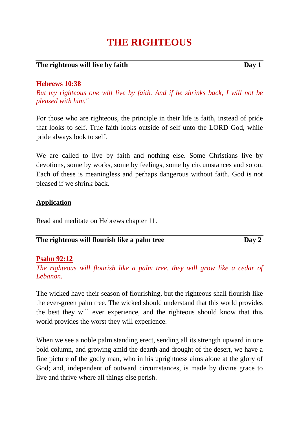# **THE RIGHTEOUS**

#### **The righteous will live by faith Day 1**

#### **Hebrews 10:38**

*But my righteous one will live by faith. And if he shrinks back, I will not be pleased with him."*

For those who are righteous, the principle in their life is faith, instead of pride that looks to self. True faith looks outside of self unto the LORD God, while pride always look to self.

We are called to live by faith and nothing else. Some Christians live by devotions, some by works, some by feelings, some by circumstances and so on. Each of these is meaningless and perhaps dangerous without faith. God is not pleased if we shrink back.

#### **Application**

Read and meditate on Hebrews chapter 11.

| The righteous will flourish like a palm tree | Day 2 |
|----------------------------------------------|-------|
|----------------------------------------------|-------|

#### **Psalm 92:12**

*.*

*The righteous will flourish like a palm tree, they will grow like a cedar of Lebanon.*

The wicked have their season of flourishing, but the righteous shall flourish like the ever-green palm tree. The wicked should understand that this world provides the best they will ever experience, and the righteous should know that this world provides the worst they will experience.

When we see a noble palm standing erect, sending all its strength upward in one bold column, and growing amid the dearth and drought of the desert, we have a fine picture of the godly man, who in his uprightness aims alone at the glory of God; and, independent of outward circumstances, is made by divine grace to live and thrive where all things else perish.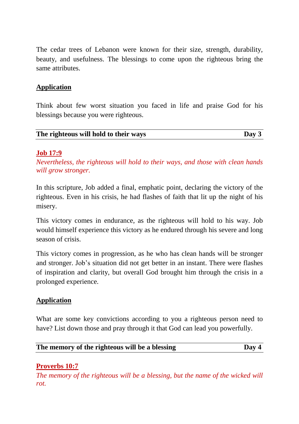The cedar trees of Lebanon were known for their size, strength, durability, beauty, and usefulness. The blessings to come upon the righteous bring the same attributes.

## **Application**

Think about few worst situation you faced in life and praise God for his blessings because you were righteous.

| The righteous will hold to their ways | Day 3 |
|---------------------------------------|-------|

#### **Job 17:9**

*Nevertheless, the righteous will hold to their ways, and those with clean hands will grow stronger.*

In this scripture, Job added a final, emphatic point, declaring the victory of the righteous. Even in his crisis, he had flashes of faith that lit up the night of his misery.

This victory comes in endurance, as the righteous will hold to his way. Job would himself experience this victory as he endured through his severe and long season of crisis.

This victory comes in progression, as he who has clean hands will be stronger and stronger. Job's situation did not get better in an instant. There were flashes of inspiration and clarity, but overall God brought him through the crisis in a prolonged experience.

## **Application**

What are some key convictions according to you a righteous person need to have? List down those and pray through it that God can lead you powerfully.

| The memory of the righteous will be a blessing | $\bf{D}$ ay 4 |
|------------------------------------------------|---------------|
|------------------------------------------------|---------------|

## **Proverbs 10:7**

*The memory of the righteous will be a blessing, but the name of the wicked will rot.*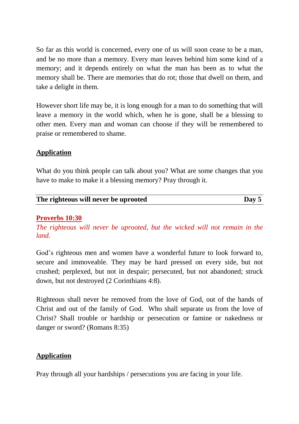So far as this world is concerned, every one of us will soon cease to be a man, and be no more than a memory. Every man leaves behind him some kind of a memory; and it depends entirely on what the man has been as to what the memory shall be. There are memories that do rot; those that dwell on them, and take a delight in them.

However short life may be, it is long enough for a man to do something that will leave a memory in the world which, when he is gone, shall be a blessing to other men. Every man and woman can choose if they will be remembered to praise or remembered to shame.

## **Application**

What do you think people can talk about you? What are some changes that you have to make to make it a blessing memory? Pray through it.

| The righteous will never be uprooted | Day 5 |
|--------------------------------------|-------|
|                                      |       |

## **Proverbs 10:30**

*The righteous will never be uprooted, but the wicked will not remain in the land.*

God's righteous men and women have a wonderful future to look forward to, secure and immoveable. They may be hard pressed on every side, but not crushed; perplexed, but not in despair; persecuted, but not abandoned; struck down, but not destroyed (2 Corinthians 4:8).

Righteous shall never be removed from the love of God, out of the hands of Christ and out of the family of God. Who shall separate us from the love of Christ? Shall trouble or hardship or persecution or famine or nakedness or danger or sword? (Romans 8:35)

## **Application**

Pray through all your hardships / persecutions you are facing in your life.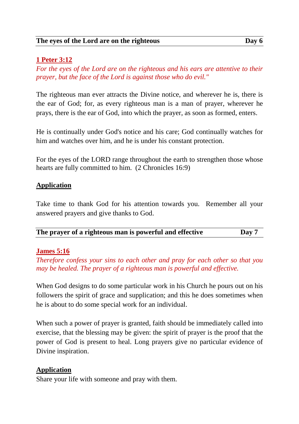## **1 Peter 3:12**

*For the eyes of the Lord are on the righteous and his ears are attentive to their prayer, but the face of the Lord is against those who do evil."*

The righteous man ever attracts the Divine notice, and wherever he is, there is the ear of God; for, as every righteous man is a man of prayer, wherever he prays, there is the ear of God, into which the prayer, as soon as formed, enters.

He is continually under God's notice and his care; God continually watches for him and watches over him, and he is under his constant protection.

For the eyes of the LORD range throughout the earth to strengthen those whose hearts are fully committed to him. (2 Chronicles 16:9)

## **Application**

Take time to thank God for his attention towards you. Remember all your answered prayers and give thanks to God.

| The prayer of a righteous man is powerful and effective |  | Day 7 |
|---------------------------------------------------------|--|-------|
|                                                         |  |       |

## **James 5:16**

*Therefore confess your sins to each other and pray for each other so that you may be healed. The prayer of a righteous man is powerful and effective.*

When God designs to do some particular work in his Church he pours out on his followers the spirit of grace and supplication; and this he does sometimes when he is about to do some special work for an individual.

When such a power of prayer is granted, faith should be immediately called into exercise, that the blessing may be given: the spirit of prayer is the proof that the power of God is present to heal. Long prayers give no particular evidence of Divine inspiration.

#### **Application**

Share your life with someone and pray with them.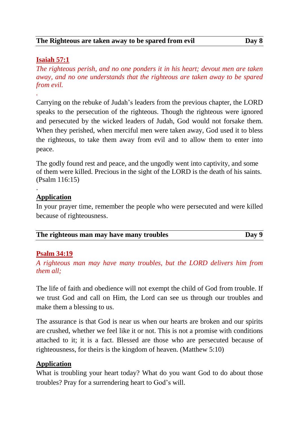#### **The Righteous are taken away to be spared from evil Day 8**

## **Isaiah 57:1**

*.*

.

*The righteous perish, and no one ponders it in his heart; devout men are taken away, and no one understands that the righteous are taken away to be spared from evil.*

Carrying on the rebuke of Judah's leaders from the previous chapter, the LORD speaks to the persecution of the righteous. Though the righteous were ignored and persecuted by the wicked leaders of Judah, God would not forsake them. When they perished, when merciful men were taken away, God used it to bless the righteous, to take them away from evil and to allow them to enter into peace.

The godly found rest and peace, and the ungodly went into captivity, and some of them were killed. Precious in the sight of the LORD is the death of his saints. (Psalm 116:15)

## **Application**

In your prayer time, remember the people who were persecuted and were killed because of righteousness.

| The righteous man may have many troubles | Day 9 |
|------------------------------------------|-------|
|------------------------------------------|-------|

#### **Psalm 34:19**

*A righteous man may have many troubles, but the LORD delivers him from them all;*

The life of faith and obedience will not exempt the child of God from trouble. If we trust God and call on Him, the Lord can see us through our troubles and make them a blessing to us.

The assurance is that God is near us when our hearts are broken and our spirits are crushed, whether we feel like it or not. This is not a promise with conditions attached to it; it is a fact. Blessed are those who are persecuted because of righteousness, for theirs is the kingdom of heaven. (Matthew 5:10)

## **Application**

What is troubling your heart today? What do you want God to do about those troubles? Pray for a surrendering heart to God's will.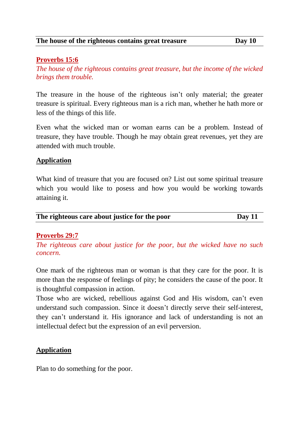#### **Proverbs 15:6**

*The house of the righteous contains great treasure, but the income of the wicked brings them trouble.*

The treasure in the house of the righteous isn't only material; the greater treasure is spiritual. Every righteous man is a rich man, whether he hath more or less of the things of this life.

Even what the wicked man or woman earns can be a problem. Instead of treasure, they have trouble. Though he may obtain great revenues, yet they are attended with much trouble.

#### **Application**

What kind of treasure that you are focused on? List out some spiritual treasure which you would like to posess and how you would be working towards attaining it.

| The righteous care about justice for the poor | Day $11$ |
|-----------------------------------------------|----------|
|                                               |          |

#### **Proverbs 29:7**

*The righteous care about justice for the poor, but the wicked have no such concern.*

One mark of the righteous man or woman is that they care for the poor. It is more than the response of feelings of pity; he considers the cause of the poor. It is thoughtful compassion in action.

Those who are wicked, rebellious against God and His wisdom, can't even understand such compassion. Since it doesn't directly serve their self-interest, they can't understand it. His ignorance and lack of understanding is not an intellectual defect but the expression of an evil perversion.

#### **Application**

Plan to do something for the poor.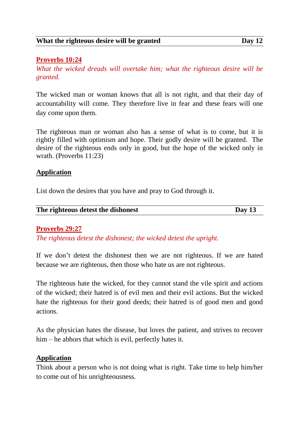## **Proverbs 10:24**

*What the wicked dreads will overtake him; what the righteous desire will be granted.*

The wicked man or woman knows that all is not right, and that their day of accountability will come. They therefore live in fear and these fears will one day come upon them.

The righteous man or woman also has a sense of what is to come, but it is rightly filled with optimism and hope. Their godly desire will be granted. The desire of the righteous ends only in good, but the hope of the wicked only in wrath. (Proverbs 11:23)

#### **Application**

List down the desires that you have and pray to God through it.

| The righteous detest the dishonest |        |
|------------------------------------|--------|
|                                    | Day 13 |
|                                    |        |

#### **Proverbs 29:27**

*The righteous detest the dishonest; the wicked detest the upright.*

If we don't detest the dishonest then we are not righteous. If we are hated because we are righteous, then those who hate us are not righteous.

The righteous hate the wicked, for they cannot stand the vile spirit and actions of the wicked; their hatred is of evil men and their evil actions. But the wicked hate the righteous for their good deeds; their hatred is of good men and good actions.

As the physician hates the disease, but loves the patient, and strives to recover him – he abhors that which is evil, perfectly hates it.

#### **Application**

Think about a person who is not doing what is right. Take time to help him/her to come out of his unrighteousness.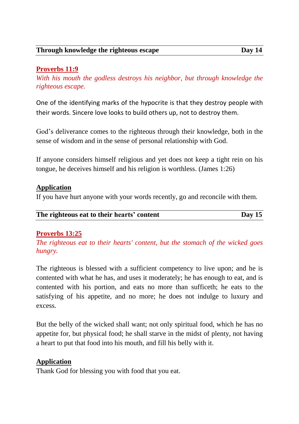## **Proverbs 11:9**

*With his mouth the godless destroys his neighbor, but through knowledge the righteous escape.*

One of the identifying marks of the hypocrite is that they destroy people with their words. Sincere love looks to build others up, not to destroy them.

God's deliverance comes to the righteous through their knowledge, both in the sense of wisdom and in the sense of personal relationship with God.

If anyone considers himself religious and yet does not keep a tight rein on his tongue, he deceives himself and his religion is worthless. (James 1:26)

## **Application**

If you have hurt anyone with your words recently, go and reconcile with them.

| The righteous eat to their hearts' content | Day $15$ |
|--------------------------------------------|----------|
|                                            |          |

## **Proverbs 13:25**

*The righteous eat to their hearts' content, but the stomach of the wicked goes hungry.*

The righteous is blessed with a sufficient competency to live upon; and he is contented with what he has, and uses it moderately; he has enough to eat, and is contented with his portion, and eats no more than sufficeth; he eats to the satisfying of his appetite, and no more; he does not indulge to luxury and excess.

But the belly of the wicked shall want; not only spiritual food, which he has no appetite for, but physical food; he shall starve in the midst of plenty, not having a heart to put that food into his mouth, and fill his belly with it.

## **Application**

Thank God for blessing you with food that you eat.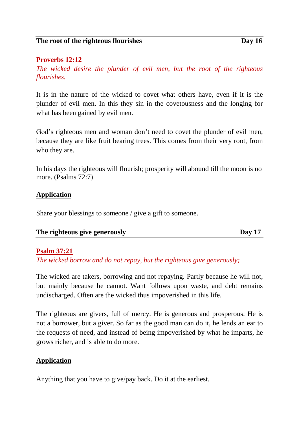#### **Proverbs 12:12**

*The wicked desire the plunder of evil men, but the root of the righteous flourishes.*

It is in the nature of the wicked to covet what others have, even if it is the plunder of evil men. In this they sin in the covetousness and the longing for what has been gained by evil men.

God's righteous men and woman don't need to covet the plunder of evil men, because they are like fruit bearing trees. This comes from their very root, from who they are.

In his days the righteous will flourish; prosperity will abound till the moon is no more. (Psalms 72:7)

#### **Application**

Share your blessings to someone / give a gift to someone.

| The righteous give generously | Day $17$ |
|-------------------------------|----------|
|-------------------------------|----------|

#### **Psalm 37:21**

*The wicked borrow and do not repay, but the righteous give generously;*

The wicked are takers, borrowing and not repaying. Partly because he will not, but mainly because he cannot. Want follows upon waste, and debt remains undischarged. Often are the wicked thus impoverished in this life.

The righteous are givers, full of mercy. He is generous and prosperous. He is not a borrower, but a giver. So far as the good man can do it, he lends an ear to the requests of need, and instead of being impoverished by what he imparts, he grows richer, and is able to do more.

#### **Application**

Anything that you have to give/pay back. Do it at the earliest.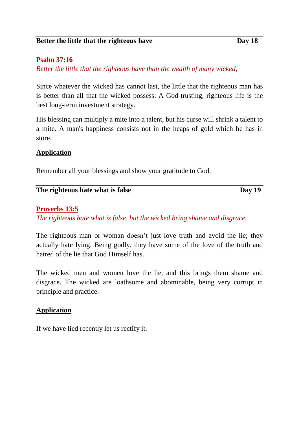## **Psalm 37:16**

*Better the little that the righteous have than the wealth of many wicked;*

Since whatever the wicked has cannot last, the little that the righteous man has is better than all that the wicked possess. A God-trusting, righteous life is the best long-term investment strategy.

His blessing can multiply a mite into a talent, but his curse will shrink a talent to a mite. A man's happiness consists not in the heaps of gold which he has in store.

## **Application**

Remember all your blessings and show your gratitude to God.

| The righteous hate what is false | Day 19 |
|----------------------------------|--------|

## **Proverbs 13:5**

*The righteous hate what is false, but the wicked bring shame and disgrace.*

The righteous man or woman doesn't just love truth and avoid the lie; they actually hate lying. Being godly, they have some of the love of the truth and hatred of the lie that God Himself has.

The wicked men and women love the lie, and this brings them shame and disgrace. The wicked are loathsome and abominable, being very corrupt in principle and practice.

#### **Application**

If we have lied recently let us rectify it.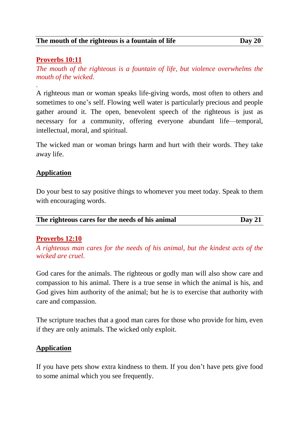## **Proverbs 10:11**

*.*

*The mouth of the righteous is a fountain of life, but violence overwhelms the mouth of the wicked.*

A righteous man or woman speaks life-giving words, most often to others and sometimes to one's self. Flowing well water is particularly precious and people gather around it. The open, benevolent speech of the righteous is just as necessary for a community, offering everyone abundant life—temporal, intellectual, moral, and spiritual.

The wicked man or woman brings harm and hurt with their words. They take away life.

## **Application**

Do your best to say positive things to whomever you meet today. Speak to them with encouraging words.

|                                                 | Day $21$ |
|-------------------------------------------------|----------|
| The righteous cares for the needs of his animal |          |

#### **Proverbs 12:10**

*A righteous man cares for the needs of his animal, but the kindest acts of the wicked are cruel.*

God cares for the animals. The righteous or godly man will also show care and compassion to his animal. There is a true sense in which the animal is his, and God gives him authority of the animal; but he is to exercise that authority with care and compassion.

The scripture teaches that a good man cares for those who provide for him, even if they are only animals. The wicked only exploit.

#### **Application**

If you have pets show extra kindness to them. If you don't have pets give food to some animal which you see frequently.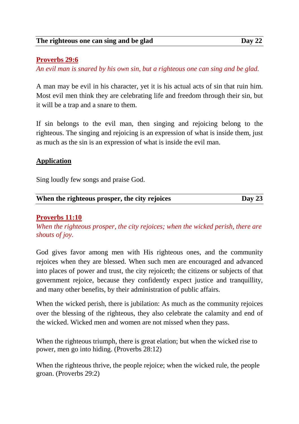#### **Proverbs 29:6**

*An evil man is snared by his own sin, but a righteous one can sing and be glad.*

A man may be evil in his character, yet it is his actual acts of sin that ruin him. Most evil men think they are celebrating life and freedom through their sin, but it will be a trap and a snare to them.

If sin belongs to the evil man, then singing and rejoicing belong to the righteous. The singing and rejoicing is an expression of what is inside them, just as much as the sin is an expression of what is inside the evil man.

## **Application**

Sing loudly few songs and praise God.

## **When the righteous prosper, the city rejoices Day 23**

## **Proverbs 11:10**

*When the righteous prosper, the city rejoices; when the wicked perish, there are shouts of joy.*

God gives favor among men with His righteous ones, and the community rejoices when they are blessed. When such men are encouraged and advanced into places of power and trust, the city rejoiceth; the citizens or subjects of that government rejoice, because they confidently expect justice and tranquillity, and many other benefits, by their administration of public affairs.

When the wicked perish, there is jubilation: As much as the community rejoices over the blessing of the righteous, they also celebrate the calamity and end of the wicked. Wicked men and women are not missed when they pass.

When the righteous triumph, there is great elation; but when the wicked rise to power, men go into hiding. (Proverbs 28:12)

When the righteous thrive, the people rejoice; when the wicked rule, the people groan. (Proverbs 29:2)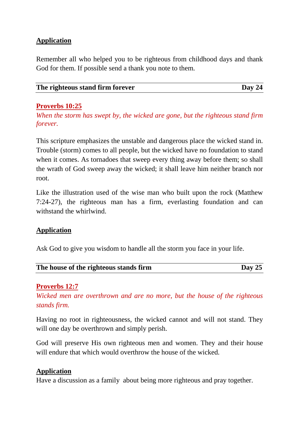## **Application**

Remember all who helped you to be righteous from childhood days and thank God for them. If possible send a thank you note to them.

| The righteous stand firm forever | Day 24 |
|----------------------------------|--------|

#### **Proverbs 10:25**

*When the storm has swept by, the wicked are gone, but the righteous stand firm forever.*

This scripture emphasizes the unstable and dangerous place the wicked stand in. Trouble (storm) comes to all people, but the wicked have no foundation to stand when it comes. As tornadoes that sweep every thing away before them; so shall the wrath of God sweep away the wicked; it shall leave him neither branch nor root.

Like the illustration used of the wise man who built upon the rock (Matthew 7:24-27), the righteous man has a firm, everlasting foundation and can withstand the whirlwind.

## **Application**

Ask God to give you wisdom to handle all the storm you face in your life.

| The house of the righteous stands firm | Day $25$ |
|----------------------------------------|----------|
|                                        |          |

## **Proverbs 12:7**

*Wicked men are overthrown and are no more, but the house of the righteous stands firm.*

Having no root in righteousness, the wicked cannot and will not stand. They will one day be overthrown and simply perish.

God will preserve His own righteous men and women. They and their house will endure that which would overthrow the house of the wicked.

#### **Application**

Have a discussion as a family about being more righteous and pray together.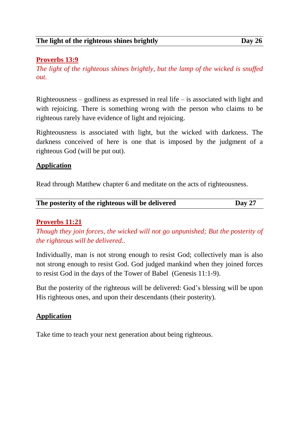#### **Proverbs 13:9**

*The light of the righteous shines brightly, but the lamp of the wicked is snuffed out.*

Righteousness – godliness as expressed in real life – is associated with light and with rejoicing. There is something wrong with the person who claims to be righteous rarely have evidence of light and rejoicing.

Righteousness is associated with light, but the wicked with darkness. The darkness conceived of here is one that is imposed by the judgment of a righteous God (will be put out).

#### **Application**

Read through Matthew chapter 6 and meditate on the acts of righteousness.

| The posterity of the righteous will be delivered | Day 27 |
|--------------------------------------------------|--------|
|                                                  |        |

#### **Proverbs 11:21**

*Though they join forces, the wicked will not go unpunished; But the posterity of the righteous will be delivered..*

Individually, man is not strong enough to resist God; collectively man is also not strong enough to resist God. God judged mankind when they joined forces to resist God in the days of the Tower of Babel (Genesis 11:1-9).

But the posterity of the righteous will be delivered: God's blessing will be upon His righteous ones, and upon their descendants (their posterity).

#### **Application**

Take time to teach your next generation about being righteous.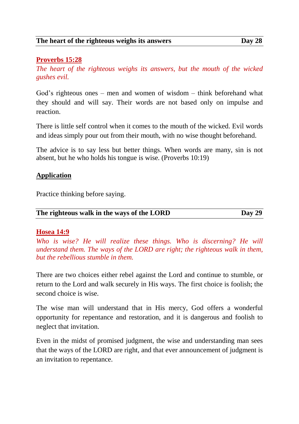#### **The heart of the righteous weighs its answers Day 28**

#### **Proverbs 15:28**

*The heart of the righteous weighs its answers, but the mouth of the wicked gushes evil.*

God's righteous ones – men and women of wisdom – think beforehand what they should and will say. Their words are not based only on impulse and reaction.

There is little self control when it comes to the mouth of the wicked. Evil words and ideas simply pour out from their mouth, with no wise thought beforehand.

The advice is to say less but better things. When words are many, sin is not absent, but he who holds his tongue is wise. (Proverbs 10:19)

#### **Application**

Practice thinking before saying.

| The righteous walk in the ways of the LORD | <b>Day 29</b> |
|--------------------------------------------|---------------|
|                                            |               |

#### **Hosea 14:9**

*Who is wise? He will realize these things. Who is discerning? He will understand them. The ways of the LORD are right; the righteous walk in them, but the rebellious stumble in them.*

There are two choices either rebel against the Lord and continue to stumble, or return to the Lord and walk securely in His ways. The first choice is foolish; the second choice is wise.

The wise man will understand that in His mercy, God offers a wonderful opportunity for repentance and restoration, and it is dangerous and foolish to neglect that invitation.

Even in the midst of promised judgment, the wise and understanding man sees that the ways of the LORD are right, and that ever announcement of judgment is an invitation to repentance.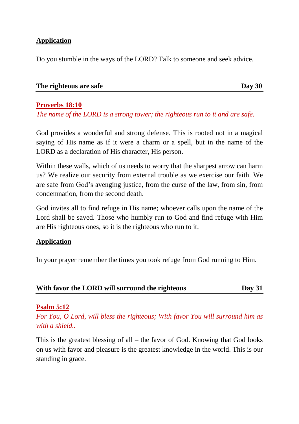## **Application**

Do you stumble in the ways of the LORD? Talk to someone and seek advice.

| The righteous are safe | Day 30 |
|------------------------|--------|
|                        |        |

**Proverbs 18:10**

*The name of the LORD is a strong tower; the righteous run to it and are safe.*

God provides a wonderful and strong defense. This is rooted not in a magical saying of His name as if it were a charm or a spell, but in the name of the LORD as a declaration of His character, His person.

Within these walls, which of us needs to worry that the sharpest arrow can harm us? We realize our security from external trouble as we exercise our faith. We are safe from God's avenging justice, from the curse of the law, from sin, from condemnation, from the second death.

God invites all to find refuge in His name; whoever calls upon the name of the Lord shall be saved. Those who humbly run to God and find refuge with Him are His righteous ones, so it is the righteous who run to it.

#### **Application**

In your prayer remember the times you took refuge from God running to Him.

| With favor the LORD will surround the righteous | <b>Day 31</b> |
|-------------------------------------------------|---------------|
|-------------------------------------------------|---------------|

#### **Psalm 5:12**

*For You, O Lord, will bless the righteous; With favor You will surround him as with a shield..*

This is the greatest blessing of all – the favor of God. Knowing that God looks on us with favor and pleasure is the greatest knowledge in the world. This is our standing in grace.